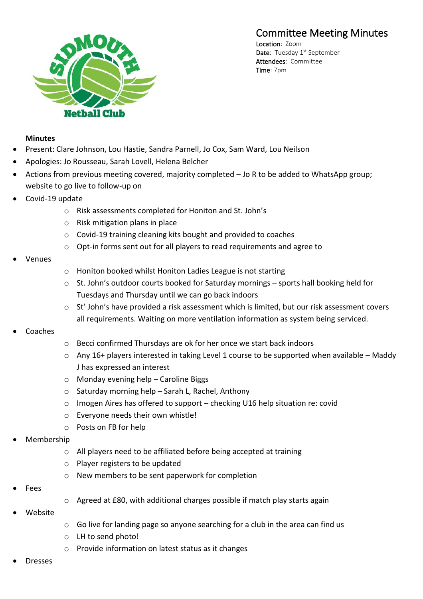## Committee Meeting Minutes



Location: Zoom Date: Tuesday 1<sup>st</sup> September Attendees: Committee Time: 7pm

## **Minutes**

- Present: Clare Johnson, Lou Hastie, Sandra Parnell, Jo Cox, Sam Ward, Lou Neilson
- Apologies: Jo Rousseau, Sarah Lovell, Helena Belcher
- Actions from previous meeting covered, majority completed Jo R to be added to WhatsApp group; website to go live to follow-up on
- Covid-19 update
	- o Risk assessments completed for Honiton and St. John's
	- o Risk mitigation plans in place
	- o Covid-19 training cleaning kits bought and provided to coaches
	- o Opt-in forms sent out for all players to read requirements and agree to
- Venues
- o Honiton booked whilst Honiton Ladies League is not starting
- $\circ$  St. John's outdoor courts booked for Saturday mornings sports hall booking held for Tuesdays and Thursday until we can go back indoors
- o St' John's have provided a risk assessment which is limited, but our risk assessment covers all requirements. Waiting on more ventilation information as system being serviced.
- **Coaches**
- o Becci confirmed Thursdays are ok for her once we start back indoors
- $\circ$  Any 16+ players interested in taking Level 1 course to be supported when available Maddy J has expressed an interest
- o Monday evening help Caroline Biggs
- $\circ$  Saturday morning help Sarah L, Rachel, Anthony
- o Imogen Aires has offered to support checking U16 help situation re: covid
- o Everyone needs their own whistle!
- o Posts on FB for help
- Membership
	- o All players need to be affiliated before being accepted at training
	- o Player registers to be updated
	- o New members to be sent paperwork for completion
- Fees
- o Agreed at £80, with additional charges possible if match play starts again
- Website
- o Go live for landing page so anyone searching for a club in the area can find us
- o LH to send photo!
- o Provide information on latest status as it changes
- **Dresses**